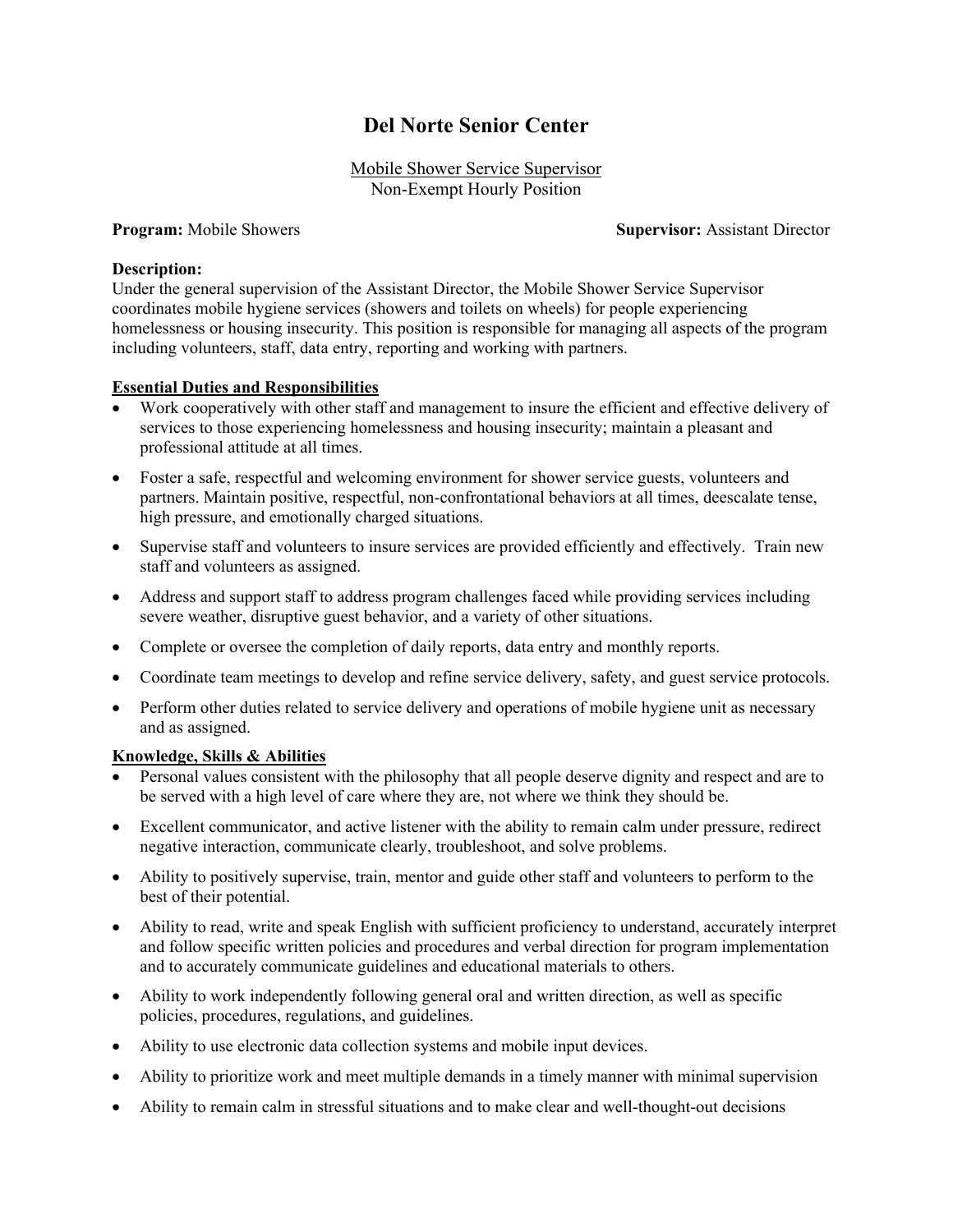# **Del Norte Senior Center**

## Mobile Shower Service Supervisor Non-Exempt Hourly Position

#### **Program:** Mobile Showers **Supervisor:** Assistant Director

### **Description:**

Under the general supervision of the Assistant Director, the Mobile Shower Service Supervisor coordinates mobile hygiene services (showers and toilets on wheels) for people experiencing homelessness or housing insecurity. This position is responsible for managing all aspects of the program including volunteers, staff, data entry, reporting and working with partners.

#### **Essential Duties and Responsibilities**

- Work cooperatively with other staff and management to insure the efficient and effective delivery of services to those experiencing homelessness and housing insecurity; maintain a pleasant and professional attitude at all times.
- Foster a safe, respectful and welcoming environment for shower service guests, volunteers and partners. Maintain positive, respectful, non-confrontational behaviors at all times, deescalate tense, high pressure, and emotionally charged situations.
- Supervise staff and volunteers to insure services are provided efficiently and effectively. Train new staff and volunteers as assigned.
- Address and support staff to address program challenges faced while providing services including severe weather, disruptive guest behavior, and a variety of other situations.
- Complete or oversee the completion of daily reports, data entry and monthly reports.
- Coordinate team meetings to develop and refine service delivery, safety, and guest service protocols.
- Perform other duties related to service delivery and operations of mobile hygiene unit as necessary and as assigned.

#### **Knowledge, Skills & Abilities**

- Personal values consistent with the philosophy that all people deserve dignity and respect and are to be served with a high level of care where they are, not where we think they should be.
- Excellent communicator, and active listener with the ability to remain calm under pressure, redirect negative interaction, communicate clearly, troubleshoot, and solve problems.
- Ability to positively supervise, train, mentor and guide other staff and volunteers to perform to the best of their potential.
- Ability to read, write and speak English with sufficient proficiency to understand, accurately interpret and follow specific written policies and procedures and verbal direction for program implementation and to accurately communicate guidelines and educational materials to others.
- Ability to work independently following general oral and written direction, as well as specific policies, procedures, regulations, and guidelines.
- Ability to use electronic data collection systems and mobile input devices.
- Ability to prioritize work and meet multiple demands in a timely manner with minimal supervision
- Ability to remain calm in stressful situations and to make clear and well-thought-out decisions